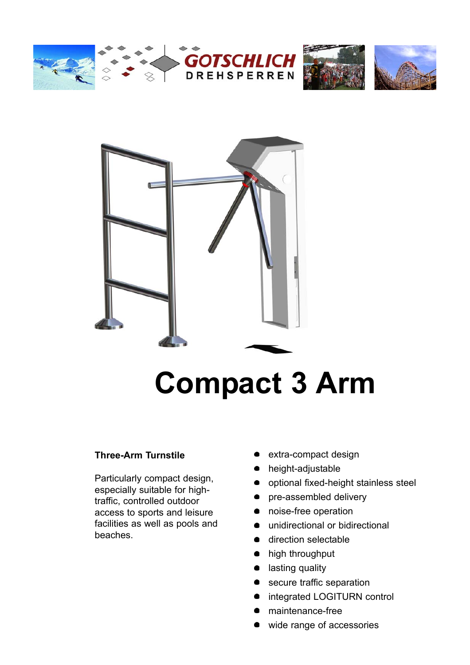







# **Compact 3 Arm**

#### **Three-Arm Turnstile**

Particularly compact design, especially suitable for hightraffic, controlled outdoor access to sports and leisure facilities as well as pools and beaches.

- extra-compact design
- height-adjustable
- optional fixed-height stainless steel
- pre-assembled delivery
- $\bullet$ noise-free operation
- unidirectional or bidirectional
- **direction selectable**
- $\bullet$ high throughput
- lasting quality
- secure traffic separation
- integrated LOGITURN control
- maintenance-free
- wide range of accessories